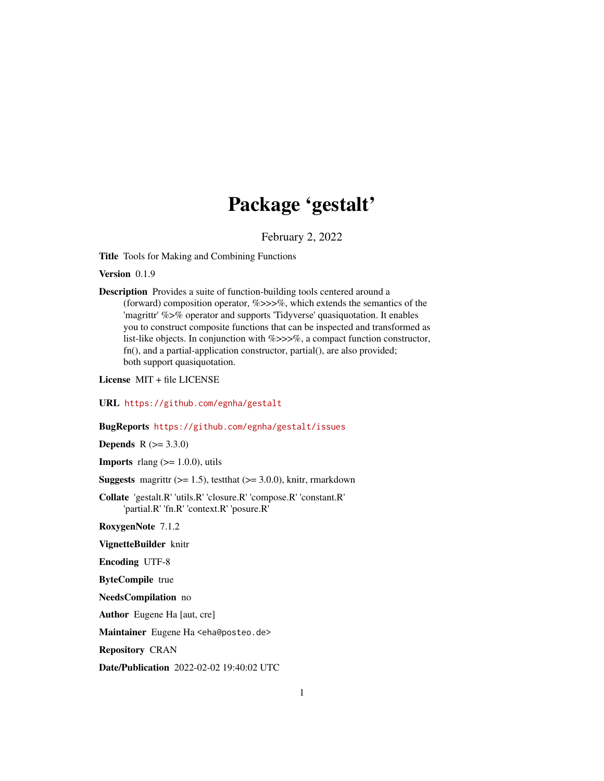## Package 'gestalt'

February 2, 2022

<span id="page-0-0"></span>Title Tools for Making and Combining Functions

Version 0.1.9

Description Provides a suite of function-building tools centered around a (forward) composition operator,  $\%$  >>>%, which extends the semantics of the 'magrittr' %>% operator and supports 'Tidyverse' quasiquotation. It enables you to construct composite functions that can be inspected and transformed as list-like objects. In conjunction with %>>>%, a compact function constructor, fn(), and a partial-application constructor, partial(), are also provided; both support quasiquotation.

License MIT + file LICENSE

URL <https://github.com/egnha/gestalt>

#### BugReports <https://github.com/egnha/gestalt/issues>

**Depends** R  $(>= 3.3.0)$ 

**Imports** rlang  $(>= 1.0.0)$ , utils

**Suggests** magrittr  $(>= 1.5)$ , test that  $(>= 3.0.0)$ , knitr, rmarkdown

Collate 'gestalt.R' 'utils.R' 'closure.R' 'compose.R' 'constant.R' 'partial.R' 'fn.R' 'context.R' 'posure.R'

RoxygenNote 7.1.2

VignetteBuilder knitr

Encoding UTF-8

ByteCompile true

NeedsCompilation no

Author Eugene Ha [aut, cre]

Maintainer Eugene Ha <eha@posteo.de>

Repository CRAN

Date/Publication 2022-02-02 19:40:02 UTC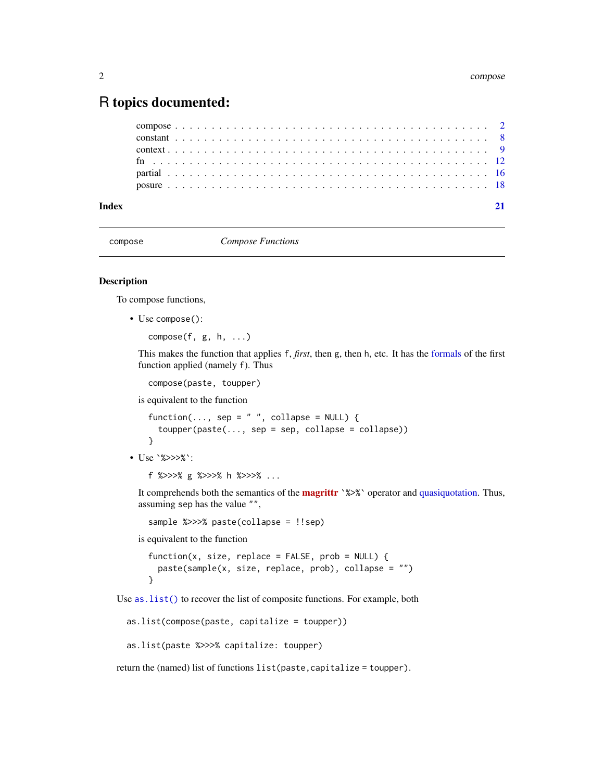### <span id="page-1-0"></span>R topics documented:

| Index |  |  |  |  |  |  |  |  |  |  |  |  |  |  |  |  |  |  |  |  |  |  |  |
|-------|--|--|--|--|--|--|--|--|--|--|--|--|--|--|--|--|--|--|--|--|--|--|--|
|       |  |  |  |  |  |  |  |  |  |  |  |  |  |  |  |  |  |  |  |  |  |  |  |
|       |  |  |  |  |  |  |  |  |  |  |  |  |  |  |  |  |  |  |  |  |  |  |  |
|       |  |  |  |  |  |  |  |  |  |  |  |  |  |  |  |  |  |  |  |  |  |  |  |
|       |  |  |  |  |  |  |  |  |  |  |  |  |  |  |  |  |  |  |  |  |  |  |  |
|       |  |  |  |  |  |  |  |  |  |  |  |  |  |  |  |  |  |  |  |  |  |  |  |
|       |  |  |  |  |  |  |  |  |  |  |  |  |  |  |  |  |  |  |  |  |  |  |  |

<span id="page-1-1"></span>

compose *Compose Functions*

#### <span id="page-1-2"></span>Description

To compose functions,

• Use compose():

```
compose(f, g, h, ...)
```
This makes the function that applies f, *first*, then g, then h, etc. It has the [formals](#page-0-0) of the first function applied (namely f). Thus

```
compose(paste, toupper)
```
is equivalent to the function

```
function(..., sep = " ", collapse = NULL) {
  toupper(paste(..., sep = sep, collapse = collapse))}
```
• Use `%>>>%`:

f %>>>% g %>>>% h %>>>% ...

It comprehends both the semantics of the **[magrittr](https://cran.r-project.org/package=magrittr)** `%>%` operator and [quasiquotation.](#page-0-0) Thus, assuming sep has the value "",

```
sample %>>>% paste(collapse = !!sep)
```
is equivalent to the function

```
function(x, size, replace = FALSE, prob = NULL) {
 paste(sample(x, size, replace, prob), collapse = "")
}
```
Use [as.list\(\)](#page-0-0) to recover the list of composite functions. For example, both

as.list(compose(paste, capitalize = toupper))

```
as.list(paste %>>>% capitalize: toupper)
```
return the (named) list of functions list(paste, capitalize = toupper).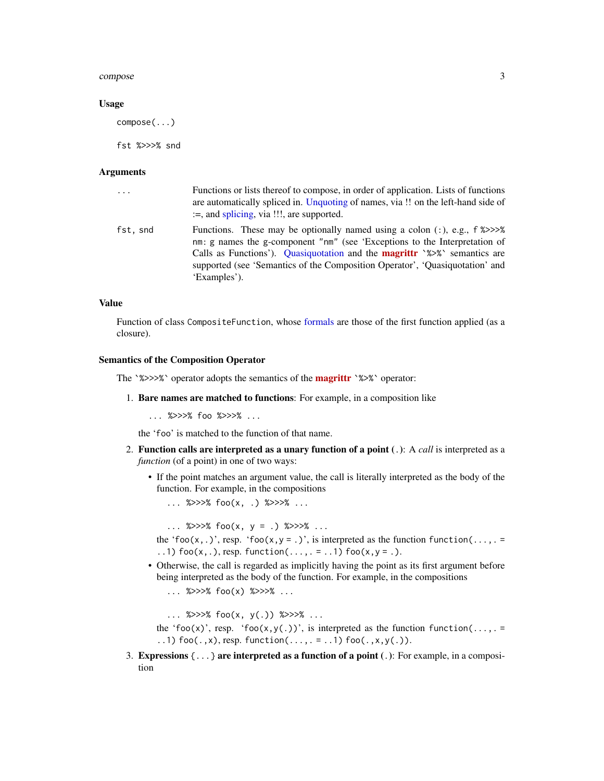#### <span id="page-2-0"></span>compose 3

#### Usage

compose(...)

fst %>>>% snd

#### Arguments

| $\ddots$ . | Functions or lists thereof to compose, in order of application. Lists of functions<br>are automatically spliced in. Unquoting of names, via !! on the left-hand side of<br>$:=$ , and splicing, via $\cdots$ , are supported.                                                                                                                              |
|------------|------------------------------------------------------------------------------------------------------------------------------------------------------------------------------------------------------------------------------------------------------------------------------------------------------------------------------------------------------------|
| fst, snd   | Functions. These may be optionally named using a colon $($ ; $)$ , $e.g., f$ $\gg$ > $>$<br>nm: g names the g-component "nm" (see 'Exceptions to the Interpretation of<br>Calls as Functions'). Quasiquotation and the <b>magrittr</b> '%>%' semantics are<br>supported (see 'Semantics of the Composition Operator', 'Ouasiquotation' and<br>'Examples'). |

#### Value

Function of class CompositeFunction, whose [formals](#page-0-0) are those of the first function applied (as a closure).

#### Semantics of the Composition Operator

The `%>>>%` operator adopts the semantics of the **[magrittr](https://cran.r-project.org/package=magrittr)** `%>%` operator:

1. Bare names are matched to functions: For example, in a composition like

... %>>>% foo %>>>% ...

the 'foo' is matched to the function of that name.

- 2. Function calls are interpreted as a unary function of a point (.): A *call* is interpreted as a *function* (of a point) in one of two ways:
	- If the point matches an argument value, the call is literally interpreted as the body of the function. For example, in the compositions
		- ... %>>>%  $foo(x, .)$  %>>>% ...

... %>>>% foo(x, y = .) %>>>% ... the 'foo(x,.)', resp. 'foo(x,y = .)', is interpreted as the function function(...,  $=$ ..1)  $foo(x, .)$ , resp. function(...,. = ..1)  $foo(x, y = .)$ .

• Otherwise, the call is regarded as implicitly having the point as its first argument before being interpreted as the body of the function. For example, in the compositions ... %>>>% foo(x) %>>>% ...

```
... %>>>% foo(x, y(.)) %>>>% ...
```
the 'foo(x)', resp. 'foo(x,y(.))', is interpreted as the function function(...,. = ..1)  $foo(.,x)$ , resp. function(...,. = ..1)  $foo(.,x,y(.))$ .

3. Expressions  $\{\ldots\}$  are interpreted as a function of a point (.): For example, in a composition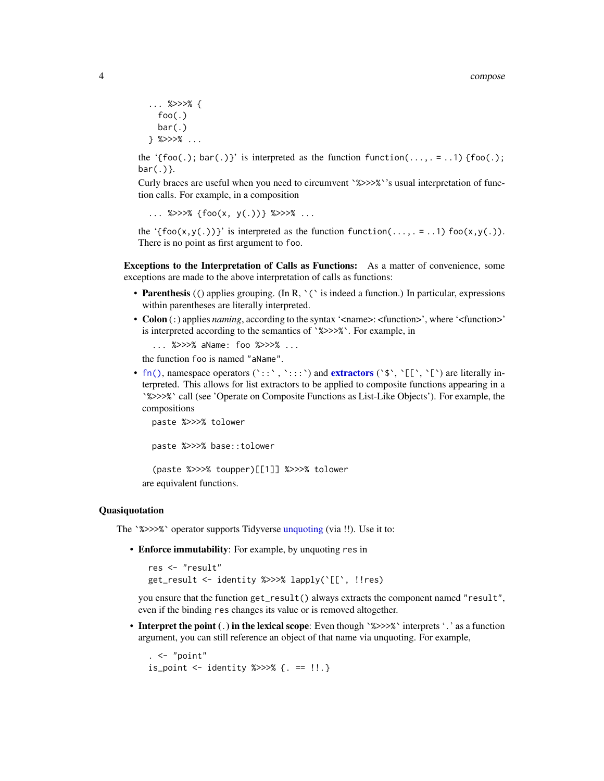```
... %>>>% {
  foo(.)bar(.)
} %>>>% ...
```
the '{foo(.); bar(.)}' is interpreted as the function function(...,  $=$  ..1) {foo(.);  $bar(.)$ .

Curly braces are useful when you need to circumvent `%>>>%`'s usual interpretation of function calls. For example, in a composition

```
... %>>>% {foo(x, y(.))} %>>>% ...
```
the '{ $foo(x,y(.))$ }' is interpreted as the function function(...,. = ..1)  $foo(x,y(.))$ . There is no point as first argument to foo.

Exceptions to the Interpretation of Calls as Functions: As a matter of convenience, some exceptions are made to the above interpretation of calls as functions:

- Parenthesis (() applies grouping. (In R,  $\degree$  ( $\degree$  is indeed a function.) In particular, expressions within parentheses are literally interpreted.
- Colon (:) applies *naming*, according to the syntax '<name>: <function>', where '<function>' is interpreted according to the semantics of `%>>>%`. For example, in

```
... %>>>% aName: foo %>>>% ...
```
the function foo is named "aName".

• [fn\(\)](#page-11-1), namespace operators ('::',','::') and [extractors](#page-0-0) (' $\mathfrak{s}'$ ', '[', '[') are literally interpreted. This allows for list extractors to be applied to composite functions appearing in a `%>>>%` call (see 'Operate on Composite Functions as List-Like Objects'). For example, the compositions

paste %>>>% tolower

paste %>>>% base::tolower

(paste %>>>% toupper)[[1]] %>>>% tolower are equivalent functions.

#### Quasiquotation

The `%>>>%` operator supports Tidyverse [unquoting](#page-0-0) (via !!). Use it to:

• Enforce immutability: For example, by unquoting res in

```
res <- "result"
get_result <- identity %>>>% lapply(`[[`, !!res)
```
you ensure that the function get\_result() always extracts the component named "result", even if the binding res changes its value or is removed altogether.

• Interpret the point (.) in the lexical scope: Even though `%>>>%` interprets '.' as a function argument, you can still reference an object of that name via unquoting. For example,

```
. < - "point"
is_point <- identity %>>>% {. == !!.}
```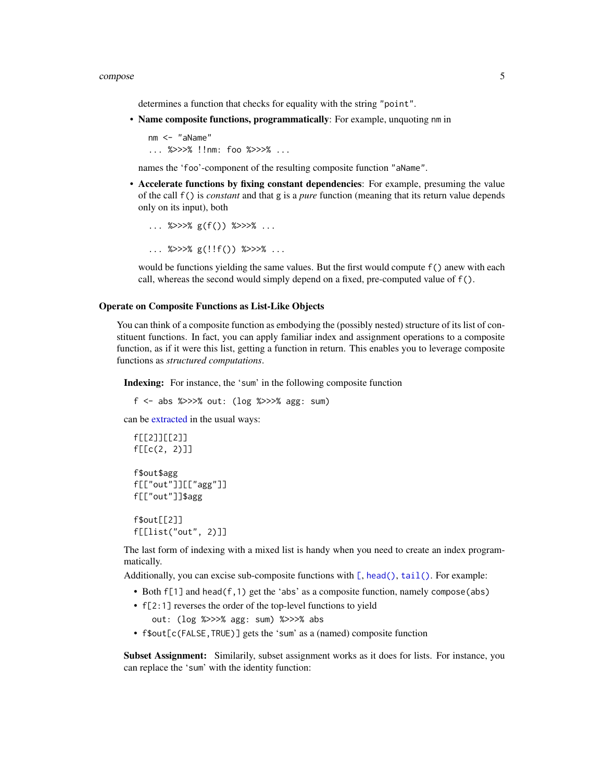#### <span id="page-4-0"></span>compose 55

determines a function that checks for equality with the string "point".

• Name composite functions, programmatically: For example, unquoting nm in

nm <- "aName" ... %>>>% !!nm: foo %>>>% ...

names the 'foo'-component of the resulting composite function "aName".

• Accelerate functions by fixing constant dependencies: For example, presuming the value of the call f() is *constant* and that g is a *pure* function (meaning that its return value depends only on its input), both

```
... %>>>% g(f()) %>>>% ...
```
... %>>>% g(!!f()) %>>>% ...

would be functions yielding the same values. But the first would compute f() anew with each call, whereas the second would simply depend on a fixed, pre-computed value of f().

#### Operate on Composite Functions as List-Like Objects

You can think of a composite function as embodying the (possibly nested) structure of its list of constituent functions. In fact, you can apply familiar index and assignment operations to a composite function, as if it were this list, getting a function in return. This enables you to leverage composite functions as *structured computations*.

Indexing: For instance, the 'sum' in the following composite function

```
f <- abs %>>>% out: (log %>>>% agg: sum)
```
can be [extracted](#page-0-0) in the usual ways:

```
f[[2]][[2]]
f[[c(2, 2)]]
f$out$agg
f[["out"]][["agg"]]
f[["out"]]$agg
f$out[[2]]
```
f[[list("out", 2)]]

The last form of indexing with a mixed list is handy when you need to create an index programmatically.

Additionally, you can excise sub-composite functions with  $[$ , head $()$ , tail $()$ . For example:

- Both  $f[1]$  and head( $f$ , 1) get the 'abs' as a composite function, namely compose(abs)
- f[2:1] reverses the order of the top-level functions to yield

out: (log %>>>% agg: sum) %>>>% abs

• f\$out[c(FALSE,TRUE)] gets the 'sum' as a (named) composite function

Subset Assignment: Similarily, subset assignment works as it does for lists. For instance, you can replace the 'sum' with the identity function: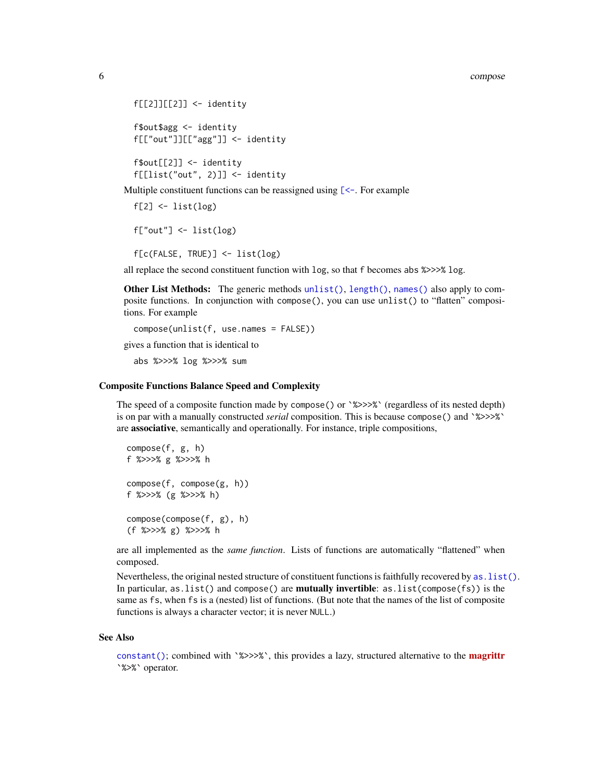```
f[[2]][[2]] <- identity
f$out$agg <- identity
f[["out"]][["agg"]] <- identity
f$out[[2]] <- identity
```
f[[list("out", 2)]] <- identity

Multiple constituent functions can be reassigned using  $\ll$ -. For example

```
f[2] <- list(log)
f['out'] \leftarrow list(log)f[c(FALSE, TRUE)] <- list(log)
```
all replace the second constituent function with log, so that f becomes abs %>>>% log.

Other List Methods: The generic methods [unlist\(\)](#page-0-0), [length\(\)](#page-0-0), [names\(\)](#page-0-0) also apply to composite functions. In conjunction with compose(), you can use unlist() to "flatten" compositions. For example

```
compose(unlist(f, use.names = FALSE))
gives a function that is identical to
  abs %>>>% log %>>>% sum
```
#### Composite Functions Balance Speed and Complexity

The speed of a composite function made by compose() or `%>>>%` (regardless of its nested depth) is on par with a manually constructed *serial* composition. This is because compose() and `%>>>%` are associative, semantically and operationally. For instance, triple compositions,

```
compose(f, g, h)
f %>>>% g %>>>% h
compose(f, compose(g, h))
f %>>>% (g %>>>% h)
compose(compose(f, g), h)
(f %>>>% g) %>>>% h
```
are all implemented as the *same function*. Lists of functions are automatically "flattened" when composed.

Nevertheless, the original nested structure of constituent functions is faithfully recovered by as  $\text{list}()$ . In particular, as. list() and compose() are **mutually invertible**: as. list(compose(fs)) is the same as fs, when fs is a (nested) list of functions. (But note that the names of the list of composite functions is always a character vector; it is never NULL.)

#### See Also

[constant\(\)](#page-7-1); combined with `%>>>%`, this provides a lazy, structured alternative to the **[magrittr](https://cran.r-project.org/package=magrittr)** `%>%` operator.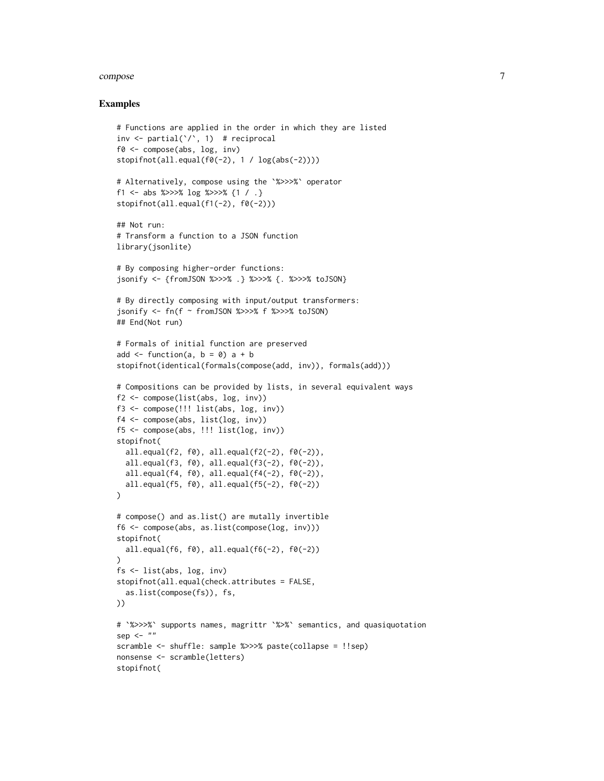#### compose that the compose that the compose  $\sim$  7

```
# Functions are applied in the order in which they are listed
inv \le partial(\langle \cdot \rangle, 1) # reciprocal
f0 <- compose(abs, log, inv)
stopifnot(all.equal(f0(-2), 1 / log(abs(-2))))
# Alternatively, compose using the `%>>>%` operator
f1 <- abs %>>>% log %>>>% {1 / .}
stopifnot(all.equal(f1(-2), f0(-2)))
## Not run:
# Transform a function to a JSON function
library(jsonlite)
# By composing higher-order functions:
jsonify <- {fromJSON %>>>% .} %>>>% {. %>>>% toJSON}
# By directly composing with input/output transformers:
jsonify <-fn(f \sim from JSON %>>> % f %>>> % f %(1)## End(Not run)
# Formals of initial function are preserved
add \leq function(a, b = 0) a + b
stopifnot(identical(formals(compose(add, inv)), formals(add)))
# Compositions can be provided by lists, in several equivalent ways
f2 <- compose(list(abs, log, inv))
f3 <- compose(!!! list(abs, log, inv))
f4 <- compose(abs, list(log, inv))
f5 <- compose(abs, !!! list(log, inv))
stopifnot(
  all.equal(f2, f0), all.equal(f2(-2), f0(-2)),
  all.equal(f3, f0), all.equal(f3(-2), f0(-2)),
  all.equal(f4, f0), all.equal(f4(-2), f0(-2)),
  all.equal(f5, f0), all.equal(f5(-2), f0(-2))
)
# compose() and as.list() are mutally invertible
f6 <- compose(abs, as.list(compose(log, inv)))
stopifnot(
  all.equal(f6, f0), all.equal(f6(-2), f0(-2))
\lambdafs <- list(abs, log, inv)
stopifnot(all.equal(check.attributes = FALSE,
  as.list(compose(fs)), fs,
))
# `%>>>%` supports names, magrittr `%>%` semantics, and quasiquotation
sep \leq - ""
scramble <- shuffle: sample %>>>% paste(collapse = !!sep)
nonsense <- scramble(letters)
stopifnot(
```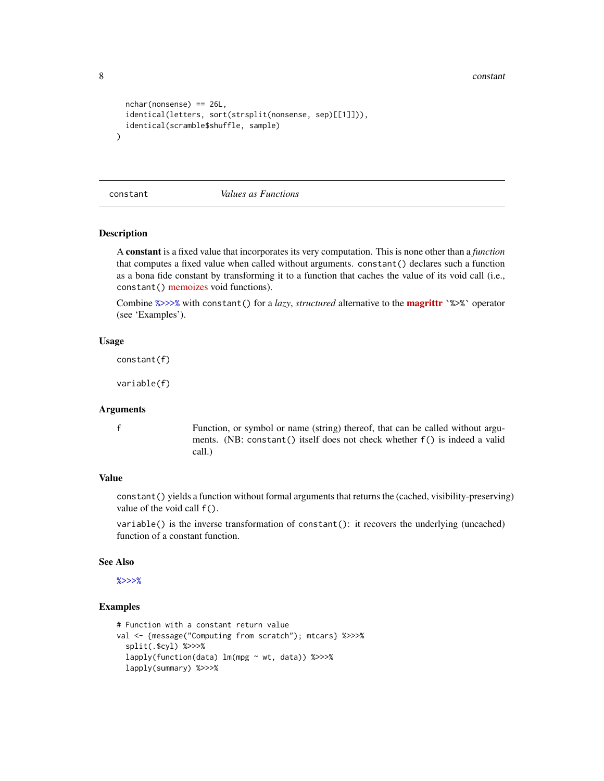<span id="page-7-0"></span>8 constant constant of the constant of the constant of the constant of the constant of the constant of the constant

```
nchar(nonsense) == 26L,
 identical(letters, sort(strsplit(nonsense, sep)[[1]])),
 identical(scramble$shuffle, sample)
)
```
<span id="page-7-1"></span>constant *Values as Functions*

#### Description

A constant is a fixed value that incorporates its very computation. This is none other than a *function* that computes a fixed value when called without arguments. constant() declares such a function as a bona fide constant by transforming it to a function that caches the value of its void call (i.e., constant() [memoizes](https://en.wikipedia.org/wiki/Memoization) void functions).

Combine [%>>>%](#page-1-1) with constant() for a *lazy*, *structured* alternative to the [magrittr](https://cran.r-project.org/package=magrittr) `%>%` operator (see 'Examples').

#### Usage

constant(f)

variable(f)

#### Arguments

f Function, or symbol or name (string) thereof, that can be called without arguments. (NB: constant() itself does not check whether f() is indeed a valid call.)

#### Value

constant() yields a function without formal arguments that returns the (cached, visibility-preserving) value of the void call f().

variable() is the inverse transformation of constant(): it recovers the underlying (uncached) function of a constant function.

#### See Also

[%>>>%](#page-1-1)

```
# Function with a constant return value
val <- {message("Computing from scratch"); mtcars} %>>>%
 split(.$cyl) %>>>%
 lapply(function(data) lm(mpg ~ wt, data)) %>>>%
 lapply(summary) %>>>%
```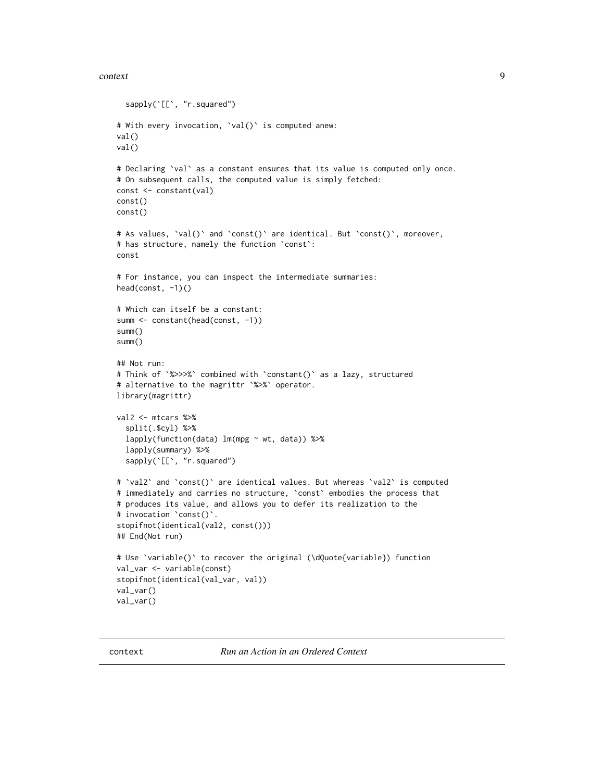#### <span id="page-8-0"></span>context 9

```
sapply(`[[`, "r.squared")
# With every invocation, `val()` is computed anew:
val()
val()
# Declaring `val` as a constant ensures that its value is computed only once.
# On subsequent calls, the computed value is simply fetched:
const <- constant(val)
const()
const()
# As values, `val()` and `const()` are identical. But `const()`, moreover,
# has structure, namely the function `const`:
const
# For instance, you can inspect the intermediate summaries:
head(const, -1)()# Which can itself be a constant:
summ <- constant(head(const, -1))
summ()
summ()
## Not run:
# Think of `%>>>%` combined with `constant()` as a lazy, structured
# alternative to the magrittr `%>%` operator.
library(magrittr)
val2 <- mtcars %>%
  split(.$cyl) %>%
  lapply(function(data) lm(mpg ~ wt, data)) %>%
  lapply(summary) %>%
  sapply(`[[`, "r.squared")
# 'val2' and 'const()' are identical values. But whereas 'val2' is computed
# immediately and carries no structure, `const` embodies the process that
# produces its value, and allows you to defer its realization to the
# invocation `const()`.
stopifnot(identical(val2, const()))
## End(Not run)
# Use `variable()` to recover the original (\dQuote{variable}) function
val_var <- variable(const)
stopifnot(identical(val_var, val))
val_var()
val_var()
```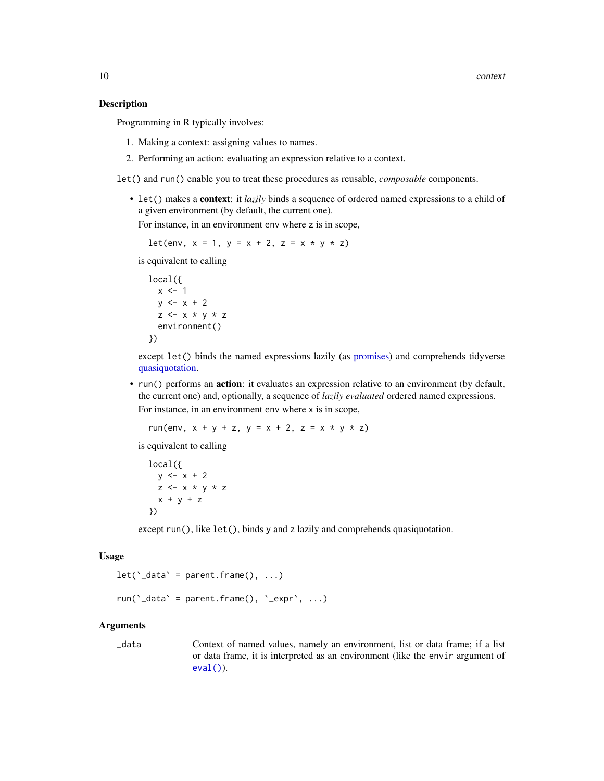#### <span id="page-9-0"></span>Description

Programming in R typically involves:

- 1. Making a context: assigning values to names.
- 2. Performing an action: evaluating an expression relative to a context.

let() and run() enable you to treat these procedures as reusable, *composable* components.

• let() makes a context: it *lazily* binds a sequence of ordered named expressions to a child of a given environment (by default, the current one).

For instance, in an environment env where z is in scope,

$$
let(env, x = 1, y = x + 2, z = x * y * z)
$$

is equivalent to calling

```
local({
  x \le -1y \le -x + 2z \leq x * y * zenvironment()
})
```
except let() binds the named expressions lazily (as [promises\)](#page-0-0) and comprehends tidyverse [quasiquotation.](#page-0-0)

• run() performs an **action**: it evaluates an expression relative to an environment (by default, the current one) and, optionally, a sequence of *lazily evaluated* ordered named expressions. For instance, in an environment env where x is in scope,

run(env,  $x + y + z$ ,  $y = x + 2$ ,  $z = x * y * z$ )

is equivalent to calling

```
local({
  y \le -x + 2z \le x * y * zx + y + z})
```
except run(), like let(), binds y and z lazily and comprehends quasiquotation.

#### Usage

```
let('_data' = parent-frame(), ...)
```

```
run('_data' = parent.frame(), '_expr', \ldots)
```
#### Arguments

\_data Context of named values, namely an environment, list or data frame; if a list or data frame, it is interpreted as an environment (like the envir argument of  $eval()$ ).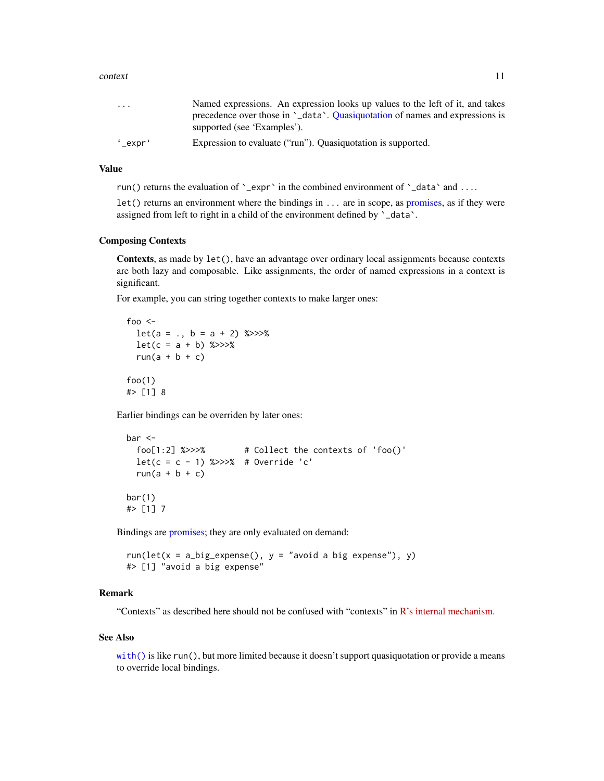#### <span id="page-10-0"></span>context 11

| $\cdot$ $\cdot$ $\cdot$       | Named expressions. An expression looks up values to the left of it, and takes |
|-------------------------------|-------------------------------------------------------------------------------|
|                               | precedence over those in '_data'. Quasiquotation of names and expressions is  |
|                               | supported (see 'Examples').                                                   |
| $^{\prime}$ _expr $^{\prime}$ | Expression to evaluate ("run"). Quasiquotation is supported.                  |

#### Value

run() returns the evaluation of  $\text{`}_\text{expr}$  in the combined environment of  $\text{`}_\text{data}`$  and ....

let() returns an environment where the bindings in ... are in scope, as [promises,](#page-0-0) as if they were assigned from left to right in a child of the environment defined by `\_data`.

#### Composing Contexts

Contexts, as made by let(), have an advantage over ordinary local assignments because contexts are both lazy and composable. Like assignments, the order of named expressions in a context is significant.

For example, you can string together contexts to make larger ones:

```
foo \leqlet(a = ., b = a + 2) %>>>%
  let(c = a + b) % \gg >>\%run(a + b + c)
foo(1)
#> [1] 8
```
Earlier bindings can be overriden by later ones:

```
bar <-
  foo[1:2] %>>>% # Collect the contexts of 'foo()'
  let(c = c - 1) %>>>% # Override 'c'
  run(a + b + c)
bar(1)#> [1] 7
```
Bindings are [promises;](#page-0-0) they are only evaluated on demand:

 $run(left(x = a_big_expense(), y = "avoid a big expense"), y)$ #> [1] "avoid a big expense"

#### Remark

"Contexts" as described here should not be confused with "contexts" in [R's internal mechanism.](https://cran.r-project.org/doc/manuals/r-release/R-ints.html#Contexts)

#### See Also

[with\(\)](#page-0-0) is like run(), but more limited because it doesn't support quasiquotation or provide a means to override local bindings.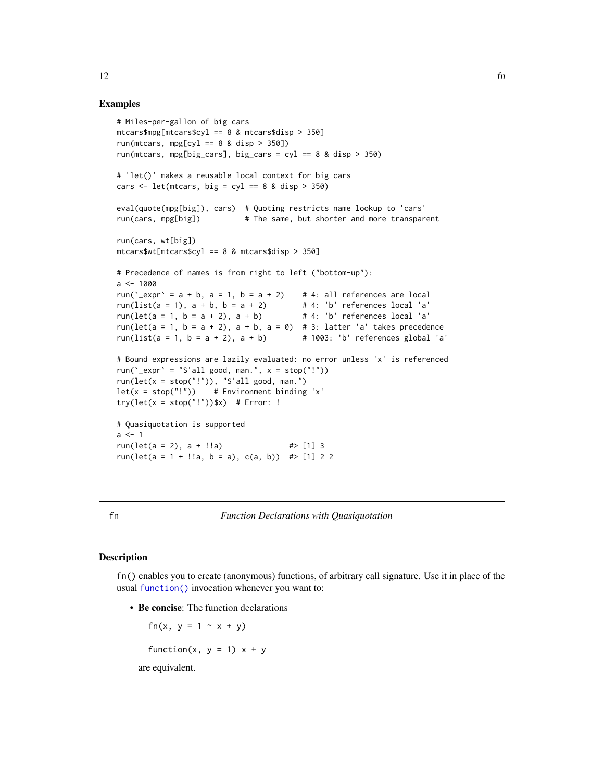#### Examples

```
# Miles-per-gallon of big cars
mtcars$mpg[mtcars$cyl == 8 & mtcars$disp > 350]run(mtcars, mpg[cyl == 8 & disp > 350])
run(mtcars, mpg[big_cars], big_cars = cyl == 8 & disp > 350)
# 'let()' makes a reusable local context for big cars
cars \leq let(mtcars, big = cyl == 8 & disp > 350)
eval(quote(mpg[big]), cars) # Quoting restricts name lookup to 'cars'
run(cars, mpg[big]) # The same, but shorter and more transparent
run(cars, wt[big])
mtcars$wt[mtcars$cyl == 8 & mtcars$disp > 350]
# Precedence of names is from right to left ("bottom-up"):
a < -1000run(\text{`-expr'} = a + b, a = 1, b = a + 2) # 4: all references are local
run(list(a = 1), a + b, b = a + 2) \qquad # 4: 'b' references local 'a' run(let(a = 1, b = a + 2), a + b) \qquad # 4: 'b' references local 'a'
run(let(a = 1, b = a + 2), a + b)
run(let(a = 1, b = a + 2), a + b, a = 0) # 3: latter 'a' takes precedence
run(list(a = 1, b = a + 2), a + b) \# 1003: 'b' references global 'a'
# Bound expressions are lazily evaluated: no error unless 'x' is referenced
run('_expr' = "S'all good, man.", x = stop("!"))
run(left(x = stop("!")), "S'all good, man.")let(x = stop("!")) # Environment binding 'x'
try(\text{let}(x = stop("!"))$x) # Error: !
# Quasiquotation is supported
a < -1run(let(a = 2), a + !!a) \Rightarrow #> [1] 3
run(let(a = 1 + !!a, b = a), c(a, b)) \# > [1] 2 2
```
<span id="page-11-1"></span>fn *Function Declarations with Quasiquotation*

#### **Description**

fn() enables you to create (anonymous) functions, of arbitrary call signature. Use it in place of the usual [function\(\)](#page-0-0) invocation whenever you want to:

• Be concise: The function declarations

fn(x,  $y = 1 - x + y$ ) function(x,  $y = 1$ )  $x + y$ are equivalent.

<span id="page-11-0"></span> $12$  fn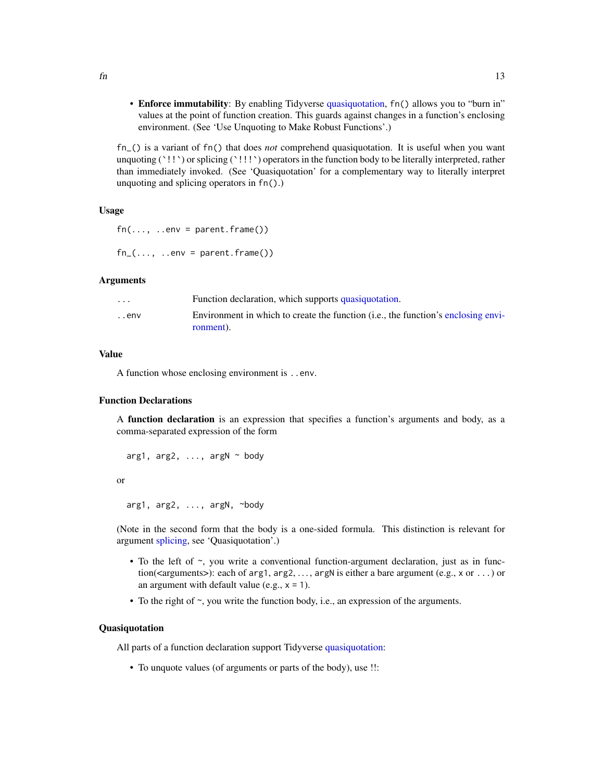<span id="page-12-0"></span>• Enforce immutability: By enabling Tidyverse [quasiquotation,](#page-0-0) fn() allows you to "burn in" values at the point of function creation. This guards against changes in a function's enclosing environment. (See 'Use Unquoting to Make Robust Functions'.)

fn\_() is a variant of fn() that does *not* comprehend quasiquotation. It is useful when you want unquoting (`!!`) or splicing (`!!!`) operators in the function body to be literally interpreted, rather than immediately invoked. (See 'Quasiquotation' for a complementary way to literally interpret unquoting and splicing operators in fn().)

#### Usage

 $fn(...,. . . env = parent . frame())$  $fn_{-}(\ldots, \ldots)$  ..env = parent.frame())

#### Arguments

| $\cdot$ $\cdot$ $\cdot$ | Function declaration, which supports quasiquotation.                                       |
|-------------------------|--------------------------------------------------------------------------------------------|
| . . env                 | Environment in which to create the function ( <i>i.e., the function</i> 's enclosing envi- |
|                         | ronment).                                                                                  |

#### Value

A function whose enclosing environment is ..env.

#### Function Declarations

A **function declaration** is an expression that specifies a function's arguments and body, as a comma-separated expression of the form

```
arg1, arg2, \ldots, argN \sim body
```
or

```
arg1, arg2, ..., argN, ~body
```
(Note in the second form that the body is a one-sided formula. This distinction is relevant for argument [splicing,](#page-0-0) see 'Quasiquotation'.)

- To the left of  $\sim$ , you write a conventional function-argument declaration, just as in function(<arguments>): each of arg1,  $\arg 1, \arg 2, \dots$ ,  $\arg N$  is either a bare argument (e.g., x or  $\dots$ ) or an argument with default value (e.g.,  $x = 1$ ).
- To the right of  $\sim$ , you write the function body, i.e., an expression of the arguments.

#### Quasiquotation

All parts of a function declaration support Tidyverse [quasiquotation:](#page-0-0)

• To unquote values (of arguments or parts of the body), use !!: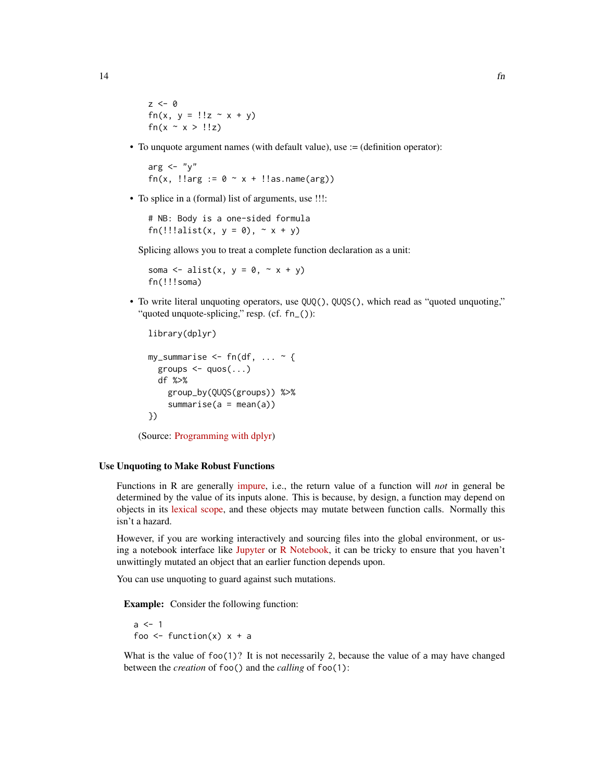$z \leq -\emptyset$ fn(x,  $y = 1!z - x + y$ ) fn( $x \sim x >$ !!z)

• To unquote argument names (with default value), use := (definition operator):

arg  $\leftarrow$  "y" fn(x,  $!$ larg  $:= 0 \sim x + 1$ !as.name(arg))

• To splice in a (formal) list of arguments, use !!!:

# NB: Body is a one-sided formula fn(!!!alist(x,  $y = 0$ ),  $\sim x + y$ )

Splicing allows you to treat a complete function declaration as a unit:

soma  $\leq$  alist(x,  $y = 0$ ,  $\leq$  x + y) fn(!!!soma)

• To write literal unquoting operators, use QUQ(), QUQS(), which read as "quoted unquoting," "quoted unquote-splicing," resp. (cf. fn\_()):

```
library(dplyr)
my_summarise \leq -fn(df, ... ~ {
  groups \leq - quos(...)df %>%
    group_by(QUQS(groups)) %>%
    summarise(a = mean(a))})
```
(Source: [Programming with dplyr\)](https://dplyr.tidyverse.org/articles/programming.html)

#### Use Unquoting to Make Robust Functions

Functions in R are generally [impure,](https://en.wikipedia.org/wiki/Pure_function) i.e., the return value of a function will *not* in general be determined by the value of its inputs alone. This is because, by design, a function may depend on objects in its [lexical scope,](https://adv-r.hadley.nz/functions.html#lexical-scoping) and these objects may mutate between function calls. Normally this isn't a hazard.

However, if you are working interactively and sourcing files into the global environment, or using a notebook interface like [Jupyter](https://jupyter.org) or [R Notebook,](https://bookdown.org/yihui/rmarkdown/notebook.html) it can be tricky to ensure that you haven't unwittingly mutated an object that an earlier function depends upon.

You can use unquoting to guard against such mutations.

Example: Consider the following function:

 $a \leq -1$ foo  $\leq$  function(x)  $x + a$ 

What is the value of  $foo(1)$ ? It is not necessarily 2, because the value of a may have changed between the *creation* of foo() and the *calling* of foo(1):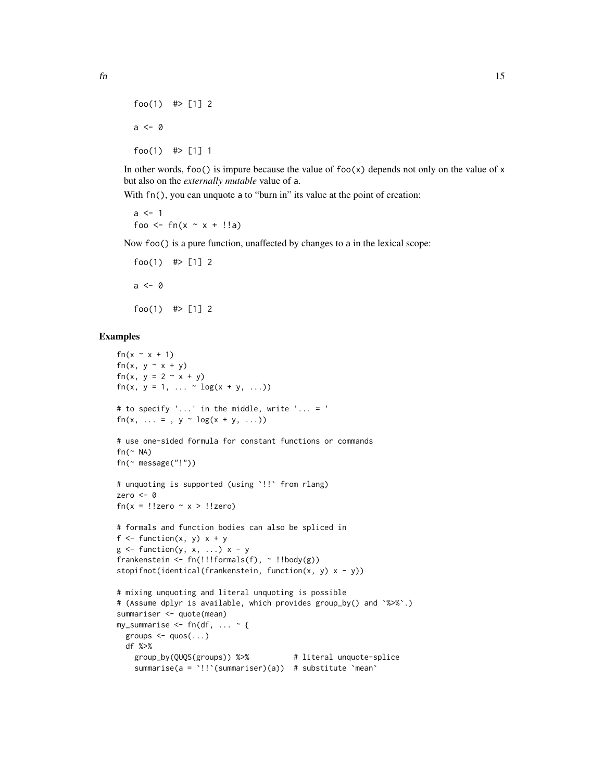```
foo(1) #> [1] 2
a \leftarrow \emptysetfoo(1) #> [1] 1
```
In other words, foo() is impure because the value of foo(x) depends not only on the value of x but also on the *externally mutable* value of a.

With  $fn()$ , you can unquote a to "burn in" its value at the point of creation:

```
a \leq -1foo <- fn(x \sim x + !!a)
```
Now foo() is a pure function, unaffected by changes to a in the lexical scope:

```
foo(1) #> [1] 2
a \leq -\emptysetfoo(1) #> [1] 2
```

```
fn(x \sim x + 1)fn(x, y \sim x + y)
fn(x, y = 2 - x + y)
fn(x, y = 1, ... \sim \log(x + y, ...))
# to specify '...' in the middle, write '... = '
fn(x, ... = , y \sim \log(x + y, ...))
# use one-sided formula for constant functions or commands
fn(\sim NA)fn(~ message("!"))
# unquoting is supported (using `!!` from rlang)
zero <- 0
fn(x = !!zero ~ x > !!zero)
# formals and function bodies can also be spliced in
f \leftarrow function(x, y) x + yg \leftarrow function(y, x, \ldots) x - yfrankenstein \leq fn(!!!formals(f), \sim !!body(g))
stopifnot(identical(frankenstein, function(x, y) x - y))
# mixing unquoting and literal unquoting is possible
# (Assume dplyr is available, which provides group_by() and `%>%`.)
summariser <- quote(mean)
my_summarise \leq fn(df, ... \sim {
  groups \leq - quos(...)df %>%
    group_by(QUQS(groups)) %>% # literal unquote-splice
    summarise(a = `!!`(summariser)(a)) # substitute `mean`
```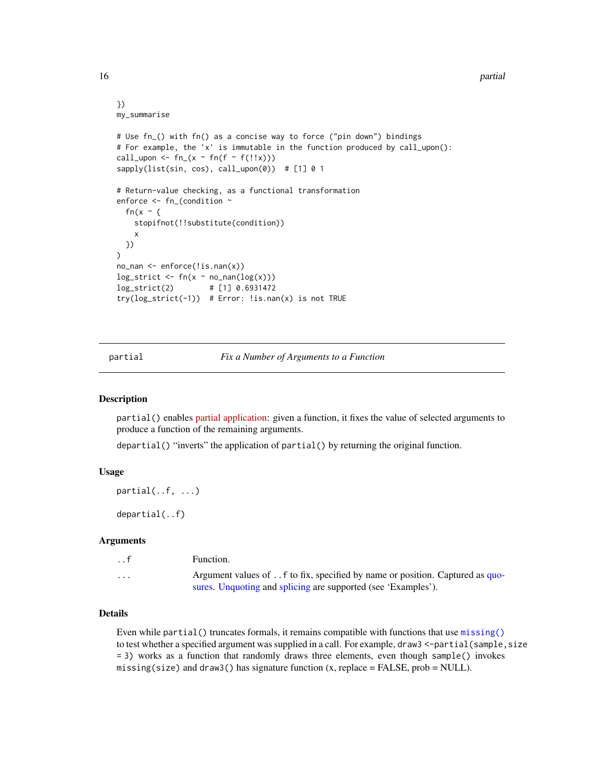#### }) my\_summarise

```
# Use fn_() with fn() as a concise way to force ("pin down") bindings
# For example, the 'x' is immutable in the function produced by call_upon():
call_upon <- fn_{(x \sim fn(f \sim f(!!x)))sapply(list(sin, cos), call\_upon(0)) # [1] 0 1# Return-value checking, as a functional transformation
enforce <- fn_(condition ~
 fn(x \sim {
    stopifnot(!!substitute(condition))
    x
 })
\mathcal{L}no_nan <- enforce(!is.nan(x))
log\_strict \leftarrow fn(x \sim no\_nan(log(x)))log_strict(2) # [1] 0.6931472
try(log_strict(-1)) # Error: !is.nan(x) is not TRUE
```
<span id="page-15-1"></span>partial *Fix a Number of Arguments to a Function*

#### Description

partial() enables [partial application:](https://en.wikipedia.org/wiki/Partial_application) given a function, it fixes the value of selected arguments to produce a function of the remaining arguments.

departial() "inverts" the application of partial() by returning the original function.

#### Usage

```
partial(..f, ...)
```
departial(..f)

#### Arguments

| . . f                   | Function.                                                                    |
|-------------------------|------------------------------------------------------------------------------|
| $\cdot$ $\cdot$ $\cdot$ | Argument values of f to fix, specified by name or position. Captured as quo- |
|                         | sures. Unquoting and splicing are supported (see 'Examples').                |

#### Details

Even while partial () truncates formals, it remains compatible with functions that use [missing\(\)](#page-0-0) to test whether a specified argument was supplied in a call. For example, draw3 <-partial(sample, size = 3) works as a function that randomly draws three elements, even though sample() invokes missing(size) and draw3() has signature function  $(x,$  replace = FALSE, prob = NULL).

<span id="page-15-0"></span>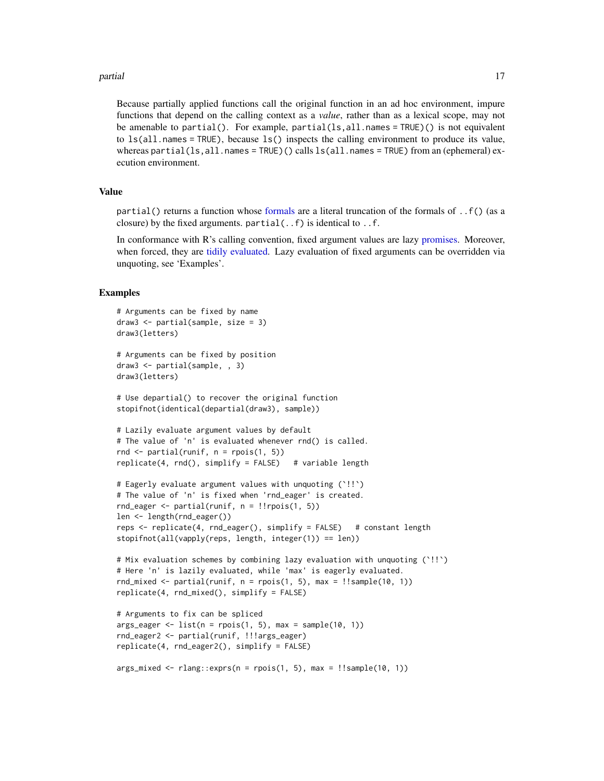#### <span id="page-16-0"></span>partial the contract of the contract of the contract of the contract of the contract of the contract of the contract of the contract of the contract of the contract of the contract of the contract of the contract of the co

Because partially applied functions call the original function in an ad hoc environment, impure functions that depend on the calling context as a *value*, rather than as a lexical scope, may not be amenable to partial(). For example, partial(ls,all.names = TRUE)() is not equivalent to  $ls(all.name = TRUE)$ , because  $ls()$  inspects the calling environment to produce its value, whereas partial(ls,all.names = TRUE)() calls  $ls(all.name = TRUE)$  from an (ephemeral) execution environment.

#### Value

partial() returns a function whose [formals](#page-0-0) are a literal truncation of the formals of ..f() (as a closure) by the fixed arguments. partial  $(. f)$  is identical to  $. f$ .

In conformance with R's calling convention, fixed argument values are lazy [promises.](#page-0-0) Moreover, when forced, they are [tidily evaluated.](#page-0-0) Lazy evaluation of fixed arguments can be overridden via unquoting, see 'Examples'.

```
# Arguments can be fixed by name
draw3 <- partial(sample, size = 3)
draw3(letters)
# Arguments can be fixed by position
draw3 <- partial(sample, , 3)
draw3(letters)
# Use departial() to recover the original function
stopifnot(identical(departial(draw3), sample))
# Lazily evaluate argument values by default
# The value of 'n' is evaluated whenever rnd() is called.
rnd \leq partial(runif, n = \text{rpois}(1, 5))
replicate(4, rnd(), simplify = FALSE) # variable length
# Eagerly evaluate argument values with unquoting (`!!`)
# The value of 'n' is fixed when 'rnd_eager' is created.
rnd_eager <- partial(runif, n = !!rpois(1, 5))
len <- length(rnd_eager())
reps <- replicate(4, rnd_eager(), simplify = FALSE) # constant length
stopifnot(all(vapply(reps, length, integer(1)) == len))
# Mix evaluation schemes by combining lazy evaluation with unquoting (`!!`)
# Here 'n' is lazily evaluated, while 'max' is eagerly evaluated.
rnd\_mixed \leq partial(runif, n = rpois(1, 5), max = !!sample(10, 1))replicate(4, rnd_mixed(), simplify = FALSE)
# Arguments to fix can be spliced
args\_eager \leq list(n = \text{rpois}(1, 5), \text{max} = sample(10, 1))rnd_eager2 <- partial(runif, !!!args_eager)
replicate(4, rnd_eager2(), simplify = FALSE)
args\_mixed \leq rlang::express(n = \text{pois}(1, 5), \text{max} = !!sample(10, 1))
```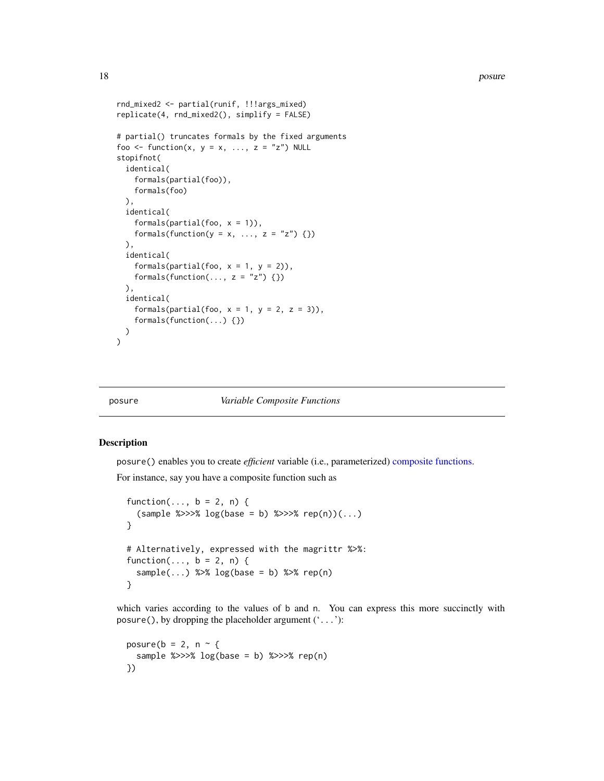```
rnd_mixed2 <- partial(runif, !!!args_mixed)
replicate(4, rnd_mixed2(), simplify = FALSE)
# partial() truncates formals by the fixed arguments
foo <- function(x, y = x, ..., z = "z") NULL
stopifnot(
 identical(
    formals(partial(foo)),
    formals(foo)
 ),
 identical(
    formals(partial(foo, x = 1)),
    formals(function(y = x, ..., z = "z") {})
 ),
 identical(
    formals(partial(foo, x = 1, y = 2)),
    formals(function(..., z = "z") {})
 ),
 identical(
    formals(partial(foo, x = 1, y = 2, z = 3)),
    formals(function(...) {})
 )
\mathcal{L}
```
#### posure *Variable Composite Functions*

#### Description

posure() enables you to create *efficient* variable (i.e., parameterized) [composite functions.](#page-1-1)

For instance, say you have a composite function such as

```
function(..., b = 2, n) {
  (sample %>>>% log(base = b) %>>>% rep(n))(...)
}
# Alternatively, expressed with the magrittr %>%:
function(..., b = 2, n) {
  sample(...) %>% log(base = b) %>% rep(n)
}
```
which varies according to the values of b and n. You can express this more succinctly with posure(), by dropping the placeholder argument  $($ ...'):

```
posure(b = 2, n ~ {
  sample %>>>% log(base = b) %>>>% rep(n)})
```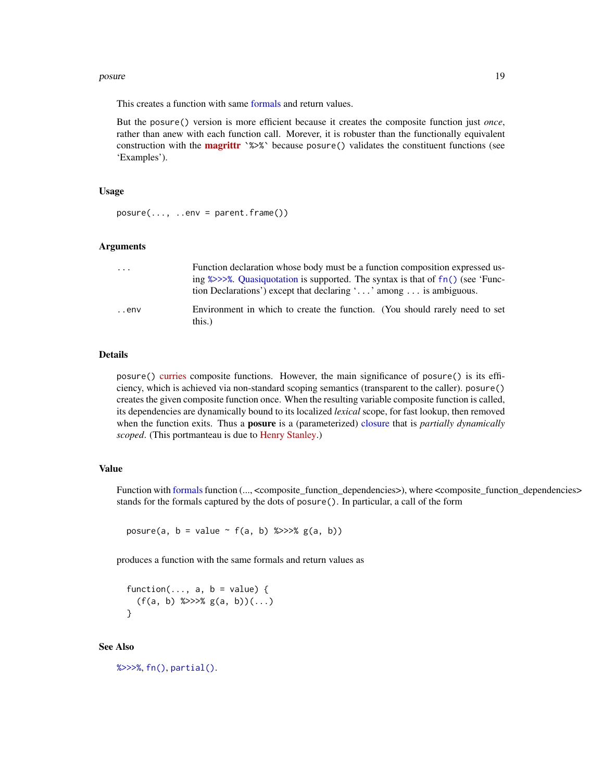#### <span id="page-18-0"></span>posure that the set of the set of the set of the set of the set of the set of the set of the set of the set of the set of the set of the set of the set of the set of the set of the set of the set of the set of the set of t

This creates a function with same [formals](#page-0-0) and return values.

But the posure() version is more efficient because it creates the composite function just *once*, rather than anew with each function call. Morever, it is robuster than the functionally equivalent construction with the **[magrittr](https://cran.r-project.org/package=magrittr)** `%>%` because posure() validates the constituent functions (see 'Examples').

#### Usage

 $posure(..., ..env = parent-frame())$ 

#### Arguments

| $\cdots$ | Function declaration whose body must be a function composition expressed us-                                                                                               |
|----------|----------------------------------------------------------------------------------------------------------------------------------------------------------------------------|
|          | ing $\frac{2}{2}$ $\frac{2}{2}$ . Quasiquotation is supported. The syntax is that of fn() (see 'Func-<br>tion Declarations') except that declaring '' among  is ambiguous. |
| env      | Environment in which to create the function. (You should rarely need to set                                                                                                |
|          | this.)                                                                                                                                                                     |

#### Details

posure() [curries](https://en.wikipedia.org/wiki/Currying) composite functions. However, the main significance of posure() is its efficiency, which is achieved via non-standard scoping semantics (transparent to the caller). posure() creates the given composite function once. When the resulting variable composite function is called, its dependencies are dynamically bound to its localized *lexical* scope, for fast lookup, then removed when the function exits. Thus a posure is a (parameterized) [closure](#page-0-0) that is *partially dynamically scoped*. (This portmanteau is due to [Henry Stanley.](https://github.com/henryaj))

#### Value

Function with [formals](#page-0-0) function (..., <composite\_function\_dependencies>), where <composite\_function\_dependencies> stands for the formals captured by the dots of posure(). In particular, a call of the form

posure(a,  $b =$  value  $\sim$  f(a, b) %>>>% g(a, b))

produces a function with the same formals and return values as

function(...,  $a, b = value$ ) {  $(f(a, b) \nless> \gt;\> \nless g(a, b))$  $(...)$ }

#### See Also

[%>>>%](#page-1-2), [fn\(\)](#page-11-1), [partial\(\)](#page-15-1).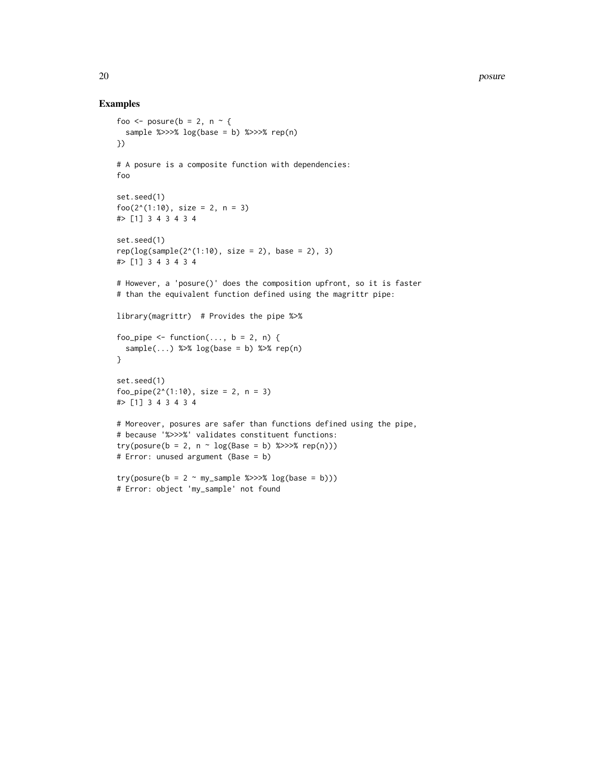```
foo <- posure(b = 2, n \sim {
  sample %>>>% log(base = b) %>>>% rep(n)})
# A posure is a composite function with dependencies:
foo
set.seed(1)
foo(2^*(1:10), size = 2, n = 3)
#> [1] 3 4 3 4 3 4
set.seed(1)
rep(log(sample(2^(1:10), size = 2), base = 2), 3)#> [1] 3 4 3 4 3 4
# However, a 'posure()' does the composition upfront, so it is faster
# than the equivalent function defined using the magrittr pipe:
library(magrittr) # Provides the pipe %>%
foo_pipe <- function(..., b = 2, n) {
 sample(...) %>% log(base = b) %>% rep(n)
}
set.seed(1)
foo_pipe(2^*(1:10), size = 2, n = 3)
#> [1] 3 4 3 4 3 4
# Moreover, posures are safer than functions defined using the pipe,
# because '%>>>%' validates constituent functions:
try(posure(b = 2, n - log(Base = b) %>>> % rep(n)))# Error: unused argument (Base = b)
try(posure(b = 2 \sim my\_sample %>>> % log(base = b)))# Error: object 'my_sample' not found
```